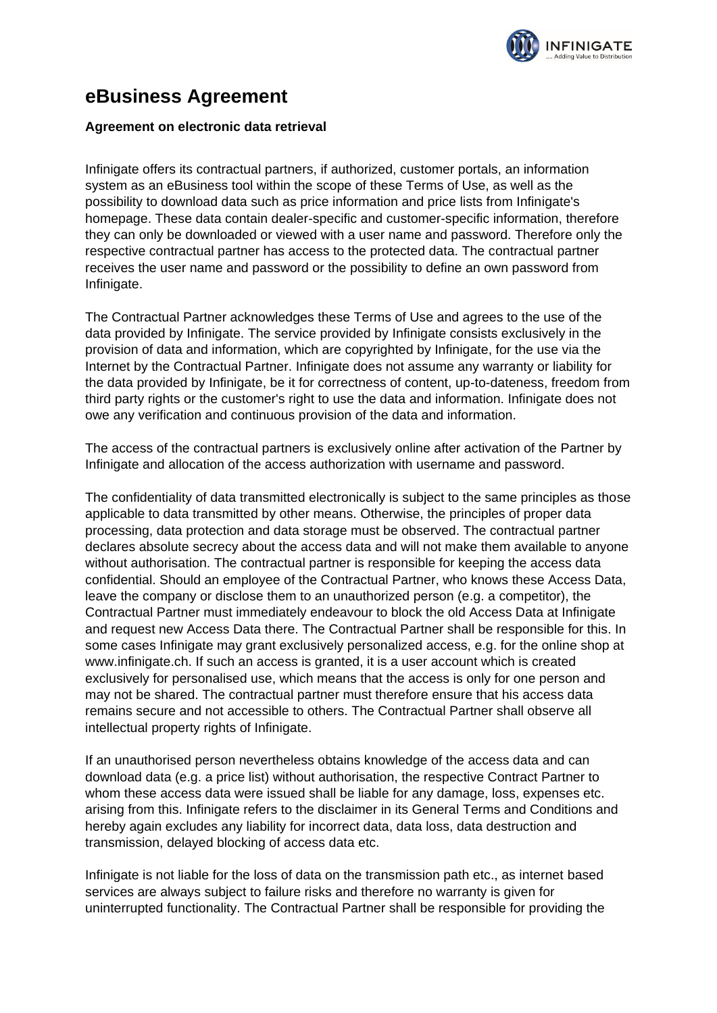

## **eBusiness Agreement**

## **Agreement on electronic data retrieval**

Infinigate offers its contractual partners, if authorized, customer portals, an information system as an eBusiness tool within the scope of these Terms of Use, as well as the possibility to download data such as price information and price lists from Infinigate's homepage. These data contain dealer-specific and customer-specific information, therefore they can only be downloaded or viewed with a user name and password. Therefore only the respective contractual partner has access to the protected data. The contractual partner receives the user name and password or the possibility to define an own password from Infinigate.

The Contractual Partner acknowledges these Terms of Use and agrees to the use of the data provided by Infinigate. The service provided by Infinigate consists exclusively in the provision of data and information, which are copyrighted by Infinigate, for the use via the Internet by the Contractual Partner. Infinigate does not assume any warranty or liability for the data provided by Infinigate, be it for correctness of content, up-to-dateness, freedom from third party rights or the customer's right to use the data and information. Infinigate does not owe any verification and continuous provision of the data and information.

The access of the contractual partners is exclusively online after activation of the Partner by Infinigate and allocation of the access authorization with username and password.

The confidentiality of data transmitted electronically is subject to the same principles as those applicable to data transmitted by other means. Otherwise, the principles of proper data processing, data protection and data storage must be observed. The contractual partner declares absolute secrecy about the access data and will not make them available to anyone without authorisation. The contractual partner is responsible for keeping the access data confidential. Should an employee of the Contractual Partner, who knows these Access Data, leave the company or disclose them to an unauthorized person (e.g. a competitor), the Contractual Partner must immediately endeavour to block the old Access Data at Infinigate and request new Access Data there. The Contractual Partner shall be responsible for this. In some cases Infinigate may grant exclusively personalized access, e.g. for the online shop at www.infinigate.ch. If such an access is granted, it is a user account which is created exclusively for personalised use, which means that the access is only for one person and may not be shared. The contractual partner must therefore ensure that his access data remains secure and not accessible to others. The Contractual Partner shall observe all intellectual property rights of Infinigate.

If an unauthorised person nevertheless obtains knowledge of the access data and can download data (e.g. a price list) without authorisation, the respective Contract Partner to whom these access data were issued shall be liable for any damage, loss, expenses etc. arising from this. Infinigate refers to the disclaimer in its General Terms and Conditions and hereby again excludes any liability for incorrect data, data loss, data destruction and transmission, delayed blocking of access data etc.

Infinigate is not liable for the loss of data on the transmission path etc., as internet based services are always subject to failure risks and therefore no warranty is given for uninterrupted functionality. The Contractual Partner shall be responsible for providing the